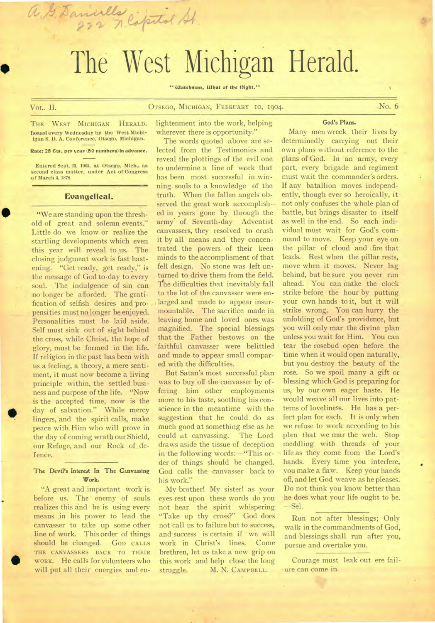# The West Michigan Herald.

#### " Watchman, What of the flight."

# VOL. II. COTSEGO, MICHIGAN, FEBRUARY 10, 1904.

THE WEST MICHIGAN HERALD. Issued every Wednesday by the West Miebiigan S. 1). A. Conference, Otsego, Michigan.

Daniells e  $rac{1}{2}$ 

Rate: 25 Cts. per year (50 numbers) in advance.

Entered Sept. 23, 1903. at Otsego. Mich.. as second class matter, under Act of Congress of March 3, 1878.

## Evangelical.

"We are standing upon the threshold of great and solemn events." Little do we know or realize the startling developments which even this year will reveal to us. The closing judgment work is fast hastening. "Get ready, get ready," is the message of God to-day to every soul. The indulgence of sin can no longer be afforded. The gratification of selfish desires and propensities must no longer be enjoyed. Personalities must be laid aside. Self must sink out of sight behind the cross, while Christ, the hope of glory, must be formed in the life. If religion in the past has been with us a feeling, a theory, a mere sentiment, it must now become a living principle within, the settled business and purpose of the life. "Now is the accepted time, now is the day of salvation." While mercy lingers, and the spirit calls, make peace with Him who will prove in the day of coming wrath our Shield, our Refuge, and our Rock of, defence.

# The Devil's Interest In The Canvassing Work.

"A great and important work is before us. The enemy of souls realizes this and he is using every means in his power to lead the canvasser to take up some other line of work. This order of things should be changed. GOD CALLS THE CANVASSERS BACK TO THEIR • WORK. He calls for volunteers who will put all their energies and enlightenment into the work, helping wherever there is opportunity.'

The words quoted above are selected from the Testimonies and reveal the plottings of the evil one to undermine a line of work that has been most successful in winning. souls to a knowledge of the truth. When the fallen angels observed the great work accomplish ed in years gone by through the army of Seventh-day Adventist canvassers, they resolved to crush it by all means and they concentrated the powers of their keen minds to the accomplisment of that fell design. No stone was left unturned to drive them from the field. The difficulties that inevitably fall to the lot of the canvasser were enlarged and made to appear insurmountable. The sacrifice made in leaving home and loved ones was magnified. The special blessings that the Father bestows on the faithful canvasser were belittled and made to appear small compared with the difficulties.

But Satan's most successful, plan was to buy off the canvasser by offering him other employments more to his taste, soothing his conscience in the meantime with the suggestion that he could do as much good at something else as he could at canvassing. The Lord draws aside the tissue of deception in the following words:—"This order of things should he changed. God calls the canvasser back to his work."

.My brother! My sister! as your eyes rest upon these words do you not hear the spirit whispering "Take up thy cross?" God does not call us to failure but to success, and success is certain if we will work in Christ's lines. Come brethren, let us take a new grip on this work and help close the long struggle. M. N. CAMPBELL.

# God's Plans.

Many men wreck their lives by determinedly carrying out their own plans without reference to the plans of God. In an' army, every part, every brigade and regiment must wait the commander's orders. If any batallion moves independently, though ever so heroically, it not only confuses the whole plan of battle, but brings disaster to itself as well in the end. So each individual must wait for God's command to move. Keep your eye on the pillar of cloud and • fire that leads. Rest when the pillar rests, move when it moves. Never lag behind, but be sure you never run ahead. You can make the clock strike-before the hour by putting your own hands to it, but it will strike wrong. You can hurry the unfolding of God's providence, but you will only mar the divine plan unless you wait for Him. You can tear the rosebud open before the time when it would open naturally, but you destroy the beauty of the rose. So we spoil many a gift or blessing which God is preparing for us, by our own eager haste. He would weave all our lives into patterns of loveliness. He has a perfect plan for each. It is only when we refuse to work according to his plan that we mar the web. Stop meddling with threads of your life as they come from the Lord's hands. Every time you interfere, you make a flaw. Keep your hands off, and let God weave as he pleases. Do not think you know better than he does what your life ought to be. —Sel.

Run not after blessings; Only walk in the commandments of God, and blessings shall run after you, pursue and overtake you.

Courage must leak out ere failure can come in.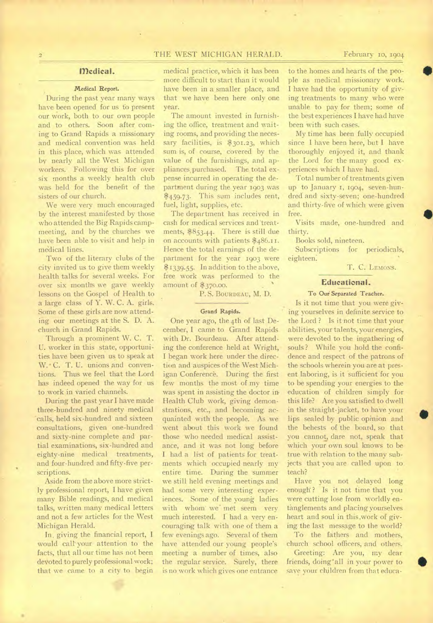# 2 THE WEST MICHIGAN HERALD. February 10, 1904

# Medical.

#### **Medical Report.**

During the past year many ways have been opened for us to present our work, both to our own people and to others. Soon after coming to Grand Rapids a missionary and medical convention was held in this place, which was attended by nearly all the West Michigan workers. Following this for over six months a weekly health club was held for the benefit of the sisters of our church.

We were very much encouraged by the interest manifested by those who attended the Big Rapids campmeeting, and by the churches we have been able to visit and help in medical lines.

Two of the literary clubs of the city invited us to give them weekly health talks for several weeks. For over six months we gave weekly lessons on the Gospel of Health to a large class of Y. W. C. A. girls. Some of these girls are now attending our meetings at the S. D. A. church in Grand Rapids.

Through a prominent W. C. T. U. worker in this state, opportunities have been given us to speak at W. C. T. U. unions and conventions. Thus we feel that the Lord has indeed opened the way for us to work in varied channels.

During the past year I have made three-hundred and ninety medical calls, held six-hundred and sixteen consultations, given one-hundred and sixty-nine complete and partial examinations, six-hundred and eighty-nine medical treatments, and four-hundred and fifty-five perscriptions.

Aside from the above more strictly professional report, I have given many Bible readings, and medical talks, written many medical letters and not a few articles for the West Michigan Herald.

In. giving the financial report, I would call your attention to the facts, that all our time has not been devoted to purely professional work; that we came to a city to begin

medical practice, which it has been more difficult to start than it would have been in a smaller place, and that we have been here only one year.

The amount invested in furnishing the office, treatment and waiting rooms, and providing the necessary facilities, is \$301.23, which sum is, of course, covered by the value of the furnishings, and appliances, purchased. The total expense incurred in operating the department during the year 1903 was \$459.73. This sum includes rent, fuel, light, supplies, etc.

The department has received in cash for medical services and 'treatments, \$853.44. There is still due on accounts with patients \$486.11. Hence the total earnings of the department for the year 1903 were \$1339.55. In addition to the above, free work was performed to the amount of \$370.00.

P. S. BOURDEAU, M. D.

#### Grand Rapids.

One year ago, the 4th of last December, I came to Grand Rapids with Dr. Bourdeau. After attending the conference held at Wright, I began work here under the direction and auspices of the West Michigan Conference. During the first few months the most of my time was spent in assisting the doctor in Health Club work, giving demonstrations, etc., and becoming. acquainted with the people. As we went about this work we found those who needed medical assistance, and it was not long before I had a list of patients for treatments which occupied nearly my entire time. During the 'summer we still held evening meetings and had some very interesting experiences. Some of the young ladies with whom' we' met seem very much interested. I had a very encouraging talk with one of them a few evenings ago. Several of them have attended our young people's meeting a number of times, also the regular service. Surely, there is no work which gives one entrance

to the homes and hearts of the people as medical missionary work. I have had the opportunity of giving treatments to many who were unable to pay for them; some of the best experiences I have had have been with such cases.

My time has been fully occupied since I have been here, but I have thoroughly enjoyed it, and thank the Lord for the many good experiences which I have had.

Total number of treatments given up to January r, 1904, seven-hundred and sixty-seven; one-hundred and thirty-five of which were given free.

Visits made, one-hundred and thirty.

Books sold, nineteen.

Subscriptions for periodicals, eighteen.

T. C. LEMONS.

#### **Educational.**

## **To Oui Separated Teacher.**

**Is** it not time that you were giving yourselves in definite service to the Lord ? Is it not time that your abilities, your talents, your energies, were devoted to the ingathering of souls ? While you hold the confidence and respect of the patrons of the schools wherein you are at present laboring, is it sufficient for you to be spending your energies to the education of children simply for this life? Are you satisfied to dwell in the straight-jacket, to have your lips sealed by public opinion and the behests of the board, so that you cannot, dare not, speak that which your own soul knows to be true with relation to the many subjects that you are called upon to. teach?

Have you not delayed long enough: ? Is it not time that you were cutting lose from worldly entanglements and placing yourselves heart and soul in this .work of giving the last message to the world?

To the fathers and mothers, church school officers, and others.

Greeting: Are you, my dear friends, doing 'all in your power to save your children from that educa-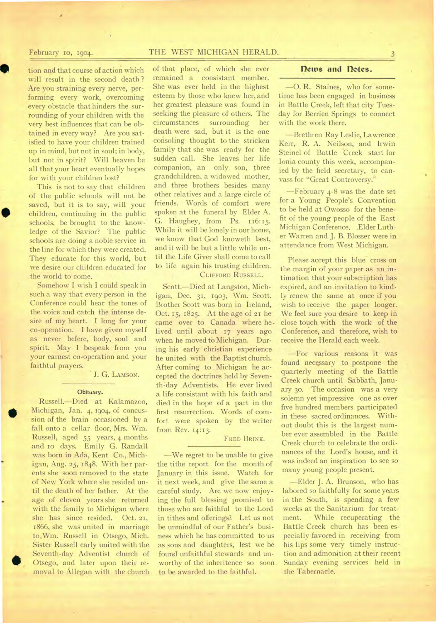# February 10, 1904. THE WEST MICHIGAN HERALD. 3

•

tion and that course of action which will result in the second death ? Are you straining every nerve, performing every work, overcoming every obstacle that hinders the surrounding of your children with the very best influences that can be obtained in every way? Are you satisfied to have your children trained up in mind, but not in soul; in body, but not in spirit? Will heaven be all that your heart eventually hopes for with your children lost?

This is not to say that children of the public schools will not be saved, but it is to say, will your children, continuing in the public schools, be brought to the knowledge of the Savior? The public schools are doing a noble service in the line for which they were created. They educate for this world, but we desire our children educated for the world to come.

Somehow I wish I could speak in such a way that every person in the Conference could hear the tones of the voice and catch the intense desire of my heart. I long for your co-operation. I have given myself as never befere, body, soul and spirit. May I bespeak from you your earnest co-operation and your faithtul prayers.

#### J. G. LAMSON.

#### **Obituary.**

Russell.—Died at Kalamazoo, 4) Michigan, Jan. 4, 1904, of concussion of the brain occasioned by a fall onto a cellar floor, Mrs. Wm. Russell, aged 55 years, 4 months and io days. Emily G. Randall was born in Ada, Kent Co., Mich igan, Aug. 25, 1848. With her parents she soon removed to the state of New York where she resided until the death of her father. At the age of eleven years she returned with the family to Michigan where she has since resided. Oct. 21, 1866, she was united in marriage to,Wm. Russell in Otsego, Mich. Sister Russell early united with the Seventh-day Adventist church of • Otsego, and later upon their removal to Allegan with the church

of that place, of which she ever remained a consistant member. She was ever held in the highest esteem by those who knew her, and her greatest pleasure was found in seeking the pleasure of others. The circumstances surrounding her death were sad, but it is the one consoling thought to the stricken family that she was ready for the sudden call. She leaves her life companion, an only son, three grandchildren, a widowed mother, and three brothers besides many other relatives and a large circle of friends. Words of comfort were spoken at the funeral by Elder A. G. Haughey, from Ps. 116:15. While it will be lonely in our home, we know that God knoweth best, and it will be but a little while until the Life Giver shall come to call to life again his trusting children.

# CLIFFORD RUSSELL.

Scott.—Died at Langston, Michigan, Dec. 31, 1903, Wm. Scott. Brother Scott was born in Ireland, Oct. 15, 1825. At the age of 21 he came over to Canada where helived until about 17 years ago when he moved to Michigan. During his early christian experience he united with the Baptist church. After coming to Michigan he accepted the doctrines held by Seventh-day Adventists. He ever lived a life consistant with his faith and died in the hope of a part in the first resurrection. Words of comfort were spoken by the writer from Rev. 14:13.

# FRED BRINK.

—We regret to be unable to give the tithe report for the month of January in this issue. Watch for it next week, and give the same a careful study. Are we now enjoying the full blessing promised to those who are faithful to the Lord in tithes and offerings? Let us not be unmindful of our Father's business which he has committed to us as sons and daughters, lest we be found unfaithful stewards and unworthy of the inheritence so soon. to be awarded to the faithful.

# **news and Dotes.**

—0. R. Staines, who for sometime has been engaged in business in Battle Creek, left that city Tuesday for Berrien Springs to connect with the work there.

—Brethren Ray Leslie, Lawrence Kerr, R. A. Neilson, and Irwin Steinel of Battle 'Creek start for Ionia county this week, accompanied by the field secretary, to canvass for "Great Controversy."

—February 4-8 was the date set for a Young People's Convention to be held at Owosso for the benefit of the young people of the East Michigan Conference. Elder Luther Warren and J. B. Blosser were in attendance from West Michigan.

Please accept this blue cross on the margin of your paper as an intimation that your subscription has expired, and an invitation to kindly renew the same at once if you wish to receive the paper longer. We feel sure you desire to keep in close touch with the work of the Conference, and therefore, wish to receive the Herald each week.

—For various reasons it was found necessary to postpone the quarterly meeting of the Battle Creek church until Sabbath, January 30. The occasion was a very solemn yet impressive one as over five hundred members participated in these sacred ordinances. Without doubt this is the largest number ever assembled in the Battle Creek church to celebrate the ordinances of the Lord's house, and it was indeed an inspiration to see so many young people present.

—Elder J. A. Brunson, who has labored so faithfully for some years in the South, is spending a few weeks at the Sanitarium for treatment. While recuperating the Battle Creek church has been especially favored in receiving from his lips some very timely instruction and admonition at their recent Sunday evening services held in the Tabernacle.